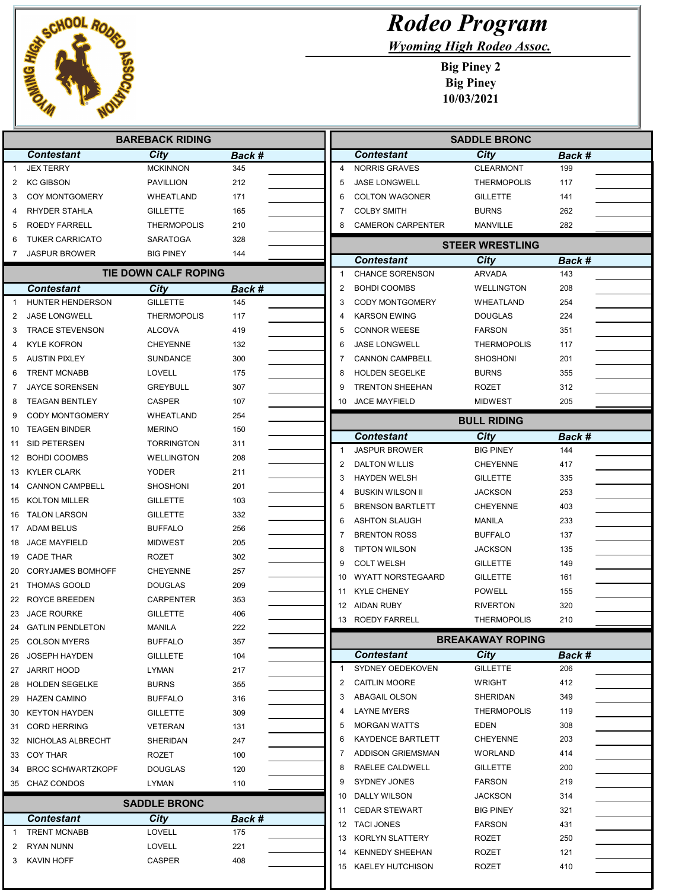

Г Г

Γ

## Rodeo Program

Wyoming High Rodeo Assoc.

Big Piney 2 Big Piney 10/03/2021

| City<br><b>Contestant</b><br>City<br><b>Contestant</b><br>Back #<br>Back #<br><b>JEX TERRY</b><br><b>MCKINNON</b><br>345<br><b>NORRIS GRAVES</b><br><b>CLEARMONT</b><br>199<br>$\overline{4}$<br>$\mathbf{1}$<br><b>KC GIBSON</b><br><b>PAVILLION</b><br>212<br>5<br><b>JASE LONGWELL</b><br><b>THERMOPOLIS</b><br>117<br>2<br>171<br><b>COY MONTGOMERY</b><br>WHEATLAND<br>6<br><b>COLTON WAGONER</b><br><b>GILLETTE</b><br>141<br>3<br>RHYDER STAHLA<br><b>GILLETTE</b><br>165<br><b>COLBY SMITH</b><br><b>BURNS</b><br>262<br>7<br>4<br>282<br>ROEDY FARRELL<br><b>THERMOPOLIS</b><br>210<br><b>CAMERON CARPENTER</b><br>MANVILLE<br>5<br>8<br><b>TUKER CARRICATO</b><br>328<br>SARATOGA<br>6<br><b>STEER WRESTLING</b><br><b>JASPUR BROWER</b><br>144<br>BIG PINEY<br>7<br><b>Contestant</b><br>City<br>Back #<br><b>TIE DOWN CALF ROPING</b><br><b>CHANCE SORENSON</b><br><b>ARVADA</b><br>143<br>-1<br>208<br>$\overline{2}$<br><b>BOHDI COOMBS</b><br><b>WELLINGTON</b><br><b>Contestant</b><br>City<br><b>Back #</b><br><b>GILLETTE</b><br>HUNTER HENDERSON<br>145<br><b>CODY MONTGOMERY</b><br>WHEATLAND<br>254<br>3<br>2<br><b>JASE LONGWELL</b><br><b>THERMOPOLIS</b><br>117<br><b>KARSON EWING</b><br><b>DOUGLAS</b><br>224<br>4<br><b>TRACE STEVENSON</b><br><b>ALCOVA</b><br><b>CONNOR WEESE</b><br><b>FARSON</b><br>351<br>3<br>419<br>5<br><b>KYLE KOFRON</b><br><b>CHEYENNE</b><br>132<br><b>JASE LONGWELL</b><br><b>THERMOPOLIS</b><br>117<br>6<br>4<br>300<br><b>AUSTIN PIXLEY</b><br><b>SUNDANCE</b><br><b>CANNON CAMPBELL</b><br><b>SHOSHONI</b><br>201<br>5<br>7<br><b>TRENT MCNABB</b><br>LOVELL<br>175<br><b>HOLDEN SEGELKE</b><br><b>BURNS</b><br>355<br>8<br>6<br><b>JAYCE SORENSEN</b><br><b>GREYBULL</b><br>307<br><b>TRENTON SHEEHAN</b><br>312<br>7<br>9<br>ROZET<br><b>TEAGAN BENTLEY</b><br>107<br>10 JACE MAYFIELD<br><b>MIDWEST</b><br>205<br>CASPER<br>8<br><b>CODY MONTGOMERY</b><br>WHEATLAND<br>254<br>9<br><b>BULL RIDING</b><br><b>TEAGEN BINDER</b><br><b>MERINO</b><br>150<br>City<br>Back #<br>Contestant<br>SID PETERSEN<br><b>TORRINGTON</b><br>311<br>11<br><b>BIG PINEY</b><br><b>JASPUR BROWER</b><br>144<br>-1<br><b>BOHDI COOMBS</b><br>208<br>WELLINGTON<br>12<br>$\overline{2}$<br><b>DALTON WILLIS</b><br><b>CHEYENNE</b><br>417<br>13 KYLER CLARK<br><b>YODER</b><br>211<br>3<br><b>HAYDEN WELSH</b><br><b>GILLETTE</b><br>335<br><b>CANNON CAMPBELL</b><br>SHOSHONI<br>201<br><b>BUSKIN WILSON II</b><br><b>JACKSON</b><br>253<br>4<br><b>KOLTON MILLER</b><br><b>GILLETTE</b><br>103<br>5<br><b>BRENSON BARTLETT</b><br><b>CHEYENNE</b><br>403<br><b>TALON LARSON</b><br><b>GILLETTE</b><br>332<br><b>ASHTON SLAUGH</b><br>233<br>6<br>MANILA<br>256<br>ADAM BELUS<br>BUFFALO<br>17<br><b>BRENTON ROSS</b><br><b>BUFFALO</b><br>137<br>7<br>205<br><b>JACE MAYFIELD</b><br><b>MIDWEST</b><br><b>TIPTON WILSON</b><br>135<br>8<br><b>JACKSON</b><br><b>CADE THAR</b><br><b>ROZET</b><br>302<br><b>COLT WELSH</b><br>149<br>9<br><b>GILLETTE</b><br><b>CORYJAMES BOMHOFF</b><br><b>CHEYENNE</b><br>257<br>WYATT NORSTEGAARD<br>161<br>10<br><b>GILLETTE</b><br><b>THOMAS GOOLD</b><br>DOUGLAS<br>209<br><b>KYLE CHENEY</b><br>155<br>11<br><b>POWELL</b><br><b>ROYCE BREEDEN</b><br>CARPENTER<br>353<br>AIDAN RUBY<br>320<br>12<br><b>RIVERTON</b><br><b>JACE ROURKE</b><br><b>GILLETTE</b><br>406<br>23<br>210<br>13 ROEDY FARRELL<br><b>THERMOPOLIS</b><br>222<br>24 GATLIN PENDLETON<br><b>MANILA</b><br>BREAKAWAY ROPING<br><b>COLSON MYERS</b><br><b>BUFFALO</b><br>357<br>City<br>Contestant<br>Back #<br>JOSEPH HAYDEN<br>GILLLETE<br>104<br>SYDNEY OEDEKOVEN<br><b>GILLETTE</b><br>206<br>$\mathbf 1$<br>JARRIT HOOD<br>LYMAN<br>217<br>27<br><b>CAITLIN MOORE</b><br><b>WRIGHT</b><br>412<br>2<br><b>BURNS</b><br><b>HOLDEN SEGELKE</b><br>355<br><b>ABAGAIL OLSON</b><br>SHERIDAN<br>349<br>3<br><b>HAZEN CAMINO</b><br><b>BUFFALO</b><br>316<br><b>LAYNE MYERS</b><br><b>THERMOPOLIS</b><br>119<br>4<br>309<br><b>KEYTON HAYDEN</b><br>GILLETTE<br>EDEN<br>5<br><b>MORGAN WATTS</b><br>308<br><b>CORD HERRING</b><br>VETERAN<br>131<br><b>KAYDENCE BARTLETT</b><br><b>CHEYENNE</b><br>203<br>6<br>NICHOLAS ALBRECHT<br>SHERIDAN<br>247<br>ADDISON GRIEMSMAN<br><b>WORLAND</b><br>414<br>7<br>33 COY THAR<br>ROZET<br>100<br>RAELEE CALDWELL<br><b>GILLETTE</b><br>200<br>8<br><b>BROC SCHWARTZKOPF</b><br><b>DOUGLAS</b><br>120<br>SYDNEY JONES<br><b>FARSON</b><br>219<br>9<br>35 CHAZ CONDOS<br><b>LYMAN</b><br>110<br>DALLY WILSON<br><b>JACKSON</b><br>314<br>10<br><b>SADDLE BRONC</b><br><b>CEDAR STEWART</b><br><b>BIG PINEY</b><br>321<br>11<br><b>Contestant</b><br>City<br>Back #<br>12 TACI JONES<br><b>FARSON</b><br>431<br><b>TRENT MCNABB</b><br>LOVELL<br>175<br>-1<br>250<br>13 KORLYN SLATTERY<br>ROZET<br>221<br>RYAN NUNN<br>LOVELL<br>2<br>121<br><b>KENNEDY SHEEHAN</b><br>ROZET<br>14<br>KAVIN HOFF<br>CASPER<br>408<br>3<br>ROZET<br>410<br>15 KAELEY HUTCHISON | <b>BAREBACK RIDING</b> |  |  |  |  | <b>SADDLE BRONC</b> |  |  |  |
|---------------------------------------------------------------------------------------------------------------------------------------------------------------------------------------------------------------------------------------------------------------------------------------------------------------------------------------------------------------------------------------------------------------------------------------------------------------------------------------------------------------------------------------------------------------------------------------------------------------------------------------------------------------------------------------------------------------------------------------------------------------------------------------------------------------------------------------------------------------------------------------------------------------------------------------------------------------------------------------------------------------------------------------------------------------------------------------------------------------------------------------------------------------------------------------------------------------------------------------------------------------------------------------------------------------------------------------------------------------------------------------------------------------------------------------------------------------------------------------------------------------------------------------------------------------------------------------------------------------------------------------------------------------------------------------------------------------------------------------------------------------------------------------------------------------------------------------------------------------------------------------------------------------------------------------------------------------------------------------------------------------------------------------------------------------------------------------------------------------------------------------------------------------------------------------------------------------------------------------------------------------------------------------------------------------------------------------------------------------------------------------------------------------------------------------------------------------------------------------------------------------------------------------------------------------------------------------------------------------------------------------------------------------------------------------------------------------------------------------------------------------------------------------------------------------------------------------------------------------------------------------------------------------------------------------------------------------------------------------------------------------------------------------------------------------------------------------------------------------------------------------------------------------------------------------------------------------------------------------------------------------------------------------------------------------------------------------------------------------------------------------------------------------------------------------------------------------------------------------------------------------------------------------------------------------------------------------------------------------------------------------------------------------------------------------------------------------------------------------------------------------------------------------------------------------------------------------------------------------------------------------------------------------------------------------------------------------------------------------------------------------------------------------------------------------------------------------------------------------------------------------------------------------------------------------------------------------------------------------------------------------------------------------------------------------------------------------------------------------------------------------------------------------------------------------------------------------------------------------------------------------------------------------------------------------------------------------------------------------------------------------------------------------------------------------------------------------------------------------------------------------------------------------------------------------------------------------------------------------------------------------------------------------------------------------------------------|------------------------|--|--|--|--|---------------------|--|--|--|
|                                                                                                                                                                                                                                                                                                                                                                                                                                                                                                                                                                                                                                                                                                                                                                                                                                                                                                                                                                                                                                                                                                                                                                                                                                                                                                                                                                                                                                                                                                                                                                                                                                                                                                                                                                                                                                                                                                                                                                                                                                                                                                                                                                                                                                                                                                                                                                                                                                                                                                                                                                                                                                                                                                                                                                                                                                                                                                                                                                                                                                                                                                                                                                                                                                                                                                                                                                                                                                                                                                                                                                                                                                                                                                                                                                                                                                                                                                                                                                                                                                                                                                                                                                                                                                                                                                                                                                                                                                                                                                                                                                                                                                                                                                                                                                                                                                                                                                                                                         |                        |  |  |  |  |                     |  |  |  |
|                                                                                                                                                                                                                                                                                                                                                                                                                                                                                                                                                                                                                                                                                                                                                                                                                                                                                                                                                                                                                                                                                                                                                                                                                                                                                                                                                                                                                                                                                                                                                                                                                                                                                                                                                                                                                                                                                                                                                                                                                                                                                                                                                                                                                                                                                                                                                                                                                                                                                                                                                                                                                                                                                                                                                                                                                                                                                                                                                                                                                                                                                                                                                                                                                                                                                                                                                                                                                                                                                                                                                                                                                                                                                                                                                                                                                                                                                                                                                                                                                                                                                                                                                                                                                                                                                                                                                                                                                                                                                                                                                                                                                                                                                                                                                                                                                                                                                                                                                         |                        |  |  |  |  |                     |  |  |  |
|                                                                                                                                                                                                                                                                                                                                                                                                                                                                                                                                                                                                                                                                                                                                                                                                                                                                                                                                                                                                                                                                                                                                                                                                                                                                                                                                                                                                                                                                                                                                                                                                                                                                                                                                                                                                                                                                                                                                                                                                                                                                                                                                                                                                                                                                                                                                                                                                                                                                                                                                                                                                                                                                                                                                                                                                                                                                                                                                                                                                                                                                                                                                                                                                                                                                                                                                                                                                                                                                                                                                                                                                                                                                                                                                                                                                                                                                                                                                                                                                                                                                                                                                                                                                                                                                                                                                                                                                                                                                                                                                                                                                                                                                                                                                                                                                                                                                                                                                                         |                        |  |  |  |  |                     |  |  |  |
|                                                                                                                                                                                                                                                                                                                                                                                                                                                                                                                                                                                                                                                                                                                                                                                                                                                                                                                                                                                                                                                                                                                                                                                                                                                                                                                                                                                                                                                                                                                                                                                                                                                                                                                                                                                                                                                                                                                                                                                                                                                                                                                                                                                                                                                                                                                                                                                                                                                                                                                                                                                                                                                                                                                                                                                                                                                                                                                                                                                                                                                                                                                                                                                                                                                                                                                                                                                                                                                                                                                                                                                                                                                                                                                                                                                                                                                                                                                                                                                                                                                                                                                                                                                                                                                                                                                                                                                                                                                                                                                                                                                                                                                                                                                                                                                                                                                                                                                                                         |                        |  |  |  |  |                     |  |  |  |
|                                                                                                                                                                                                                                                                                                                                                                                                                                                                                                                                                                                                                                                                                                                                                                                                                                                                                                                                                                                                                                                                                                                                                                                                                                                                                                                                                                                                                                                                                                                                                                                                                                                                                                                                                                                                                                                                                                                                                                                                                                                                                                                                                                                                                                                                                                                                                                                                                                                                                                                                                                                                                                                                                                                                                                                                                                                                                                                                                                                                                                                                                                                                                                                                                                                                                                                                                                                                                                                                                                                                                                                                                                                                                                                                                                                                                                                                                                                                                                                                                                                                                                                                                                                                                                                                                                                                                                                                                                                                                                                                                                                                                                                                                                                                                                                                                                                                                                                                                         |                        |  |  |  |  |                     |  |  |  |
|                                                                                                                                                                                                                                                                                                                                                                                                                                                                                                                                                                                                                                                                                                                                                                                                                                                                                                                                                                                                                                                                                                                                                                                                                                                                                                                                                                                                                                                                                                                                                                                                                                                                                                                                                                                                                                                                                                                                                                                                                                                                                                                                                                                                                                                                                                                                                                                                                                                                                                                                                                                                                                                                                                                                                                                                                                                                                                                                                                                                                                                                                                                                                                                                                                                                                                                                                                                                                                                                                                                                                                                                                                                                                                                                                                                                                                                                                                                                                                                                                                                                                                                                                                                                                                                                                                                                                                                                                                                                                                                                                                                                                                                                                                                                                                                                                                                                                                                                                         |                        |  |  |  |  |                     |  |  |  |
|                                                                                                                                                                                                                                                                                                                                                                                                                                                                                                                                                                                                                                                                                                                                                                                                                                                                                                                                                                                                                                                                                                                                                                                                                                                                                                                                                                                                                                                                                                                                                                                                                                                                                                                                                                                                                                                                                                                                                                                                                                                                                                                                                                                                                                                                                                                                                                                                                                                                                                                                                                                                                                                                                                                                                                                                                                                                                                                                                                                                                                                                                                                                                                                                                                                                                                                                                                                                                                                                                                                                                                                                                                                                                                                                                                                                                                                                                                                                                                                                                                                                                                                                                                                                                                                                                                                                                                                                                                                                                                                                                                                                                                                                                                                                                                                                                                                                                                                                                         |                        |  |  |  |  |                     |  |  |  |
|                                                                                                                                                                                                                                                                                                                                                                                                                                                                                                                                                                                                                                                                                                                                                                                                                                                                                                                                                                                                                                                                                                                                                                                                                                                                                                                                                                                                                                                                                                                                                                                                                                                                                                                                                                                                                                                                                                                                                                                                                                                                                                                                                                                                                                                                                                                                                                                                                                                                                                                                                                                                                                                                                                                                                                                                                                                                                                                                                                                                                                                                                                                                                                                                                                                                                                                                                                                                                                                                                                                                                                                                                                                                                                                                                                                                                                                                                                                                                                                                                                                                                                                                                                                                                                                                                                                                                                                                                                                                                                                                                                                                                                                                                                                                                                                                                                                                                                                                                         |                        |  |  |  |  |                     |  |  |  |
|                                                                                                                                                                                                                                                                                                                                                                                                                                                                                                                                                                                                                                                                                                                                                                                                                                                                                                                                                                                                                                                                                                                                                                                                                                                                                                                                                                                                                                                                                                                                                                                                                                                                                                                                                                                                                                                                                                                                                                                                                                                                                                                                                                                                                                                                                                                                                                                                                                                                                                                                                                                                                                                                                                                                                                                                                                                                                                                                                                                                                                                                                                                                                                                                                                                                                                                                                                                                                                                                                                                                                                                                                                                                                                                                                                                                                                                                                                                                                                                                                                                                                                                                                                                                                                                                                                                                                                                                                                                                                                                                                                                                                                                                                                                                                                                                                                                                                                                                                         |                        |  |  |  |  |                     |  |  |  |
|                                                                                                                                                                                                                                                                                                                                                                                                                                                                                                                                                                                                                                                                                                                                                                                                                                                                                                                                                                                                                                                                                                                                                                                                                                                                                                                                                                                                                                                                                                                                                                                                                                                                                                                                                                                                                                                                                                                                                                                                                                                                                                                                                                                                                                                                                                                                                                                                                                                                                                                                                                                                                                                                                                                                                                                                                                                                                                                                                                                                                                                                                                                                                                                                                                                                                                                                                                                                                                                                                                                                                                                                                                                                                                                                                                                                                                                                                                                                                                                                                                                                                                                                                                                                                                                                                                                                                                                                                                                                                                                                                                                                                                                                                                                                                                                                                                                                                                                                                         |                        |  |  |  |  |                     |  |  |  |
|                                                                                                                                                                                                                                                                                                                                                                                                                                                                                                                                                                                                                                                                                                                                                                                                                                                                                                                                                                                                                                                                                                                                                                                                                                                                                                                                                                                                                                                                                                                                                                                                                                                                                                                                                                                                                                                                                                                                                                                                                                                                                                                                                                                                                                                                                                                                                                                                                                                                                                                                                                                                                                                                                                                                                                                                                                                                                                                                                                                                                                                                                                                                                                                                                                                                                                                                                                                                                                                                                                                                                                                                                                                                                                                                                                                                                                                                                                                                                                                                                                                                                                                                                                                                                                                                                                                                                                                                                                                                                                                                                                                                                                                                                                                                                                                                                                                                                                                                                         | $\overline{1}$         |  |  |  |  |                     |  |  |  |
|                                                                                                                                                                                                                                                                                                                                                                                                                                                                                                                                                                                                                                                                                                                                                                                                                                                                                                                                                                                                                                                                                                                                                                                                                                                                                                                                                                                                                                                                                                                                                                                                                                                                                                                                                                                                                                                                                                                                                                                                                                                                                                                                                                                                                                                                                                                                                                                                                                                                                                                                                                                                                                                                                                                                                                                                                                                                                                                                                                                                                                                                                                                                                                                                                                                                                                                                                                                                                                                                                                                                                                                                                                                                                                                                                                                                                                                                                                                                                                                                                                                                                                                                                                                                                                                                                                                                                                                                                                                                                                                                                                                                                                                                                                                                                                                                                                                                                                                                                         |                        |  |  |  |  |                     |  |  |  |
|                                                                                                                                                                                                                                                                                                                                                                                                                                                                                                                                                                                                                                                                                                                                                                                                                                                                                                                                                                                                                                                                                                                                                                                                                                                                                                                                                                                                                                                                                                                                                                                                                                                                                                                                                                                                                                                                                                                                                                                                                                                                                                                                                                                                                                                                                                                                                                                                                                                                                                                                                                                                                                                                                                                                                                                                                                                                                                                                                                                                                                                                                                                                                                                                                                                                                                                                                                                                                                                                                                                                                                                                                                                                                                                                                                                                                                                                                                                                                                                                                                                                                                                                                                                                                                                                                                                                                                                                                                                                                                                                                                                                                                                                                                                                                                                                                                                                                                                                                         |                        |  |  |  |  |                     |  |  |  |
|                                                                                                                                                                                                                                                                                                                                                                                                                                                                                                                                                                                                                                                                                                                                                                                                                                                                                                                                                                                                                                                                                                                                                                                                                                                                                                                                                                                                                                                                                                                                                                                                                                                                                                                                                                                                                                                                                                                                                                                                                                                                                                                                                                                                                                                                                                                                                                                                                                                                                                                                                                                                                                                                                                                                                                                                                                                                                                                                                                                                                                                                                                                                                                                                                                                                                                                                                                                                                                                                                                                                                                                                                                                                                                                                                                                                                                                                                                                                                                                                                                                                                                                                                                                                                                                                                                                                                                                                                                                                                                                                                                                                                                                                                                                                                                                                                                                                                                                                                         |                        |  |  |  |  |                     |  |  |  |
|                                                                                                                                                                                                                                                                                                                                                                                                                                                                                                                                                                                                                                                                                                                                                                                                                                                                                                                                                                                                                                                                                                                                                                                                                                                                                                                                                                                                                                                                                                                                                                                                                                                                                                                                                                                                                                                                                                                                                                                                                                                                                                                                                                                                                                                                                                                                                                                                                                                                                                                                                                                                                                                                                                                                                                                                                                                                                                                                                                                                                                                                                                                                                                                                                                                                                                                                                                                                                                                                                                                                                                                                                                                                                                                                                                                                                                                                                                                                                                                                                                                                                                                                                                                                                                                                                                                                                                                                                                                                                                                                                                                                                                                                                                                                                                                                                                                                                                                                                         |                        |  |  |  |  |                     |  |  |  |
|                                                                                                                                                                                                                                                                                                                                                                                                                                                                                                                                                                                                                                                                                                                                                                                                                                                                                                                                                                                                                                                                                                                                                                                                                                                                                                                                                                                                                                                                                                                                                                                                                                                                                                                                                                                                                                                                                                                                                                                                                                                                                                                                                                                                                                                                                                                                                                                                                                                                                                                                                                                                                                                                                                                                                                                                                                                                                                                                                                                                                                                                                                                                                                                                                                                                                                                                                                                                                                                                                                                                                                                                                                                                                                                                                                                                                                                                                                                                                                                                                                                                                                                                                                                                                                                                                                                                                                                                                                                                                                                                                                                                                                                                                                                                                                                                                                                                                                                                                         |                        |  |  |  |  |                     |  |  |  |
|                                                                                                                                                                                                                                                                                                                                                                                                                                                                                                                                                                                                                                                                                                                                                                                                                                                                                                                                                                                                                                                                                                                                                                                                                                                                                                                                                                                                                                                                                                                                                                                                                                                                                                                                                                                                                                                                                                                                                                                                                                                                                                                                                                                                                                                                                                                                                                                                                                                                                                                                                                                                                                                                                                                                                                                                                                                                                                                                                                                                                                                                                                                                                                                                                                                                                                                                                                                                                                                                                                                                                                                                                                                                                                                                                                                                                                                                                                                                                                                                                                                                                                                                                                                                                                                                                                                                                                                                                                                                                                                                                                                                                                                                                                                                                                                                                                                                                                                                                         |                        |  |  |  |  |                     |  |  |  |
|                                                                                                                                                                                                                                                                                                                                                                                                                                                                                                                                                                                                                                                                                                                                                                                                                                                                                                                                                                                                                                                                                                                                                                                                                                                                                                                                                                                                                                                                                                                                                                                                                                                                                                                                                                                                                                                                                                                                                                                                                                                                                                                                                                                                                                                                                                                                                                                                                                                                                                                                                                                                                                                                                                                                                                                                                                                                                                                                                                                                                                                                                                                                                                                                                                                                                                                                                                                                                                                                                                                                                                                                                                                                                                                                                                                                                                                                                                                                                                                                                                                                                                                                                                                                                                                                                                                                                                                                                                                                                                                                                                                                                                                                                                                                                                                                                                                                                                                                                         |                        |  |  |  |  |                     |  |  |  |
|                                                                                                                                                                                                                                                                                                                                                                                                                                                                                                                                                                                                                                                                                                                                                                                                                                                                                                                                                                                                                                                                                                                                                                                                                                                                                                                                                                                                                                                                                                                                                                                                                                                                                                                                                                                                                                                                                                                                                                                                                                                                                                                                                                                                                                                                                                                                                                                                                                                                                                                                                                                                                                                                                                                                                                                                                                                                                                                                                                                                                                                                                                                                                                                                                                                                                                                                                                                                                                                                                                                                                                                                                                                                                                                                                                                                                                                                                                                                                                                                                                                                                                                                                                                                                                                                                                                                                                                                                                                                                                                                                                                                                                                                                                                                                                                                                                                                                                                                                         |                        |  |  |  |  |                     |  |  |  |
|                                                                                                                                                                                                                                                                                                                                                                                                                                                                                                                                                                                                                                                                                                                                                                                                                                                                                                                                                                                                                                                                                                                                                                                                                                                                                                                                                                                                                                                                                                                                                                                                                                                                                                                                                                                                                                                                                                                                                                                                                                                                                                                                                                                                                                                                                                                                                                                                                                                                                                                                                                                                                                                                                                                                                                                                                                                                                                                                                                                                                                                                                                                                                                                                                                                                                                                                                                                                                                                                                                                                                                                                                                                                                                                                                                                                                                                                                                                                                                                                                                                                                                                                                                                                                                                                                                                                                                                                                                                                                                                                                                                                                                                                                                                                                                                                                                                                                                                                                         | 10                     |  |  |  |  |                     |  |  |  |
|                                                                                                                                                                                                                                                                                                                                                                                                                                                                                                                                                                                                                                                                                                                                                                                                                                                                                                                                                                                                                                                                                                                                                                                                                                                                                                                                                                                                                                                                                                                                                                                                                                                                                                                                                                                                                                                                                                                                                                                                                                                                                                                                                                                                                                                                                                                                                                                                                                                                                                                                                                                                                                                                                                                                                                                                                                                                                                                                                                                                                                                                                                                                                                                                                                                                                                                                                                                                                                                                                                                                                                                                                                                                                                                                                                                                                                                                                                                                                                                                                                                                                                                                                                                                                                                                                                                                                                                                                                                                                                                                                                                                                                                                                                                                                                                                                                                                                                                                                         |                        |  |  |  |  |                     |  |  |  |
|                                                                                                                                                                                                                                                                                                                                                                                                                                                                                                                                                                                                                                                                                                                                                                                                                                                                                                                                                                                                                                                                                                                                                                                                                                                                                                                                                                                                                                                                                                                                                                                                                                                                                                                                                                                                                                                                                                                                                                                                                                                                                                                                                                                                                                                                                                                                                                                                                                                                                                                                                                                                                                                                                                                                                                                                                                                                                                                                                                                                                                                                                                                                                                                                                                                                                                                                                                                                                                                                                                                                                                                                                                                                                                                                                                                                                                                                                                                                                                                                                                                                                                                                                                                                                                                                                                                                                                                                                                                                                                                                                                                                                                                                                                                                                                                                                                                                                                                                                         |                        |  |  |  |  |                     |  |  |  |
|                                                                                                                                                                                                                                                                                                                                                                                                                                                                                                                                                                                                                                                                                                                                                                                                                                                                                                                                                                                                                                                                                                                                                                                                                                                                                                                                                                                                                                                                                                                                                                                                                                                                                                                                                                                                                                                                                                                                                                                                                                                                                                                                                                                                                                                                                                                                                                                                                                                                                                                                                                                                                                                                                                                                                                                                                                                                                                                                                                                                                                                                                                                                                                                                                                                                                                                                                                                                                                                                                                                                                                                                                                                                                                                                                                                                                                                                                                                                                                                                                                                                                                                                                                                                                                                                                                                                                                                                                                                                                                                                                                                                                                                                                                                                                                                                                                                                                                                                                         |                        |  |  |  |  |                     |  |  |  |
|                                                                                                                                                                                                                                                                                                                                                                                                                                                                                                                                                                                                                                                                                                                                                                                                                                                                                                                                                                                                                                                                                                                                                                                                                                                                                                                                                                                                                                                                                                                                                                                                                                                                                                                                                                                                                                                                                                                                                                                                                                                                                                                                                                                                                                                                                                                                                                                                                                                                                                                                                                                                                                                                                                                                                                                                                                                                                                                                                                                                                                                                                                                                                                                                                                                                                                                                                                                                                                                                                                                                                                                                                                                                                                                                                                                                                                                                                                                                                                                                                                                                                                                                                                                                                                                                                                                                                                                                                                                                                                                                                                                                                                                                                                                                                                                                                                                                                                                                                         | 14                     |  |  |  |  |                     |  |  |  |
|                                                                                                                                                                                                                                                                                                                                                                                                                                                                                                                                                                                                                                                                                                                                                                                                                                                                                                                                                                                                                                                                                                                                                                                                                                                                                                                                                                                                                                                                                                                                                                                                                                                                                                                                                                                                                                                                                                                                                                                                                                                                                                                                                                                                                                                                                                                                                                                                                                                                                                                                                                                                                                                                                                                                                                                                                                                                                                                                                                                                                                                                                                                                                                                                                                                                                                                                                                                                                                                                                                                                                                                                                                                                                                                                                                                                                                                                                                                                                                                                                                                                                                                                                                                                                                                                                                                                                                                                                                                                                                                                                                                                                                                                                                                                                                                                                                                                                                                                                         | 15                     |  |  |  |  |                     |  |  |  |
|                                                                                                                                                                                                                                                                                                                                                                                                                                                                                                                                                                                                                                                                                                                                                                                                                                                                                                                                                                                                                                                                                                                                                                                                                                                                                                                                                                                                                                                                                                                                                                                                                                                                                                                                                                                                                                                                                                                                                                                                                                                                                                                                                                                                                                                                                                                                                                                                                                                                                                                                                                                                                                                                                                                                                                                                                                                                                                                                                                                                                                                                                                                                                                                                                                                                                                                                                                                                                                                                                                                                                                                                                                                                                                                                                                                                                                                                                                                                                                                                                                                                                                                                                                                                                                                                                                                                                                                                                                                                                                                                                                                                                                                                                                                                                                                                                                                                                                                                                         | 16                     |  |  |  |  |                     |  |  |  |
|                                                                                                                                                                                                                                                                                                                                                                                                                                                                                                                                                                                                                                                                                                                                                                                                                                                                                                                                                                                                                                                                                                                                                                                                                                                                                                                                                                                                                                                                                                                                                                                                                                                                                                                                                                                                                                                                                                                                                                                                                                                                                                                                                                                                                                                                                                                                                                                                                                                                                                                                                                                                                                                                                                                                                                                                                                                                                                                                                                                                                                                                                                                                                                                                                                                                                                                                                                                                                                                                                                                                                                                                                                                                                                                                                                                                                                                                                                                                                                                                                                                                                                                                                                                                                                                                                                                                                                                                                                                                                                                                                                                                                                                                                                                                                                                                                                                                                                                                                         |                        |  |  |  |  |                     |  |  |  |
|                                                                                                                                                                                                                                                                                                                                                                                                                                                                                                                                                                                                                                                                                                                                                                                                                                                                                                                                                                                                                                                                                                                                                                                                                                                                                                                                                                                                                                                                                                                                                                                                                                                                                                                                                                                                                                                                                                                                                                                                                                                                                                                                                                                                                                                                                                                                                                                                                                                                                                                                                                                                                                                                                                                                                                                                                                                                                                                                                                                                                                                                                                                                                                                                                                                                                                                                                                                                                                                                                                                                                                                                                                                                                                                                                                                                                                                                                                                                                                                                                                                                                                                                                                                                                                                                                                                                                                                                                                                                                                                                                                                                                                                                                                                                                                                                                                                                                                                                                         | 18                     |  |  |  |  |                     |  |  |  |
|                                                                                                                                                                                                                                                                                                                                                                                                                                                                                                                                                                                                                                                                                                                                                                                                                                                                                                                                                                                                                                                                                                                                                                                                                                                                                                                                                                                                                                                                                                                                                                                                                                                                                                                                                                                                                                                                                                                                                                                                                                                                                                                                                                                                                                                                                                                                                                                                                                                                                                                                                                                                                                                                                                                                                                                                                                                                                                                                                                                                                                                                                                                                                                                                                                                                                                                                                                                                                                                                                                                                                                                                                                                                                                                                                                                                                                                                                                                                                                                                                                                                                                                                                                                                                                                                                                                                                                                                                                                                                                                                                                                                                                                                                                                                                                                                                                                                                                                                                         | 19                     |  |  |  |  |                     |  |  |  |
|                                                                                                                                                                                                                                                                                                                                                                                                                                                                                                                                                                                                                                                                                                                                                                                                                                                                                                                                                                                                                                                                                                                                                                                                                                                                                                                                                                                                                                                                                                                                                                                                                                                                                                                                                                                                                                                                                                                                                                                                                                                                                                                                                                                                                                                                                                                                                                                                                                                                                                                                                                                                                                                                                                                                                                                                                                                                                                                                                                                                                                                                                                                                                                                                                                                                                                                                                                                                                                                                                                                                                                                                                                                                                                                                                                                                                                                                                                                                                                                                                                                                                                                                                                                                                                                                                                                                                                                                                                                                                                                                                                                                                                                                                                                                                                                                                                                                                                                                                         | 20                     |  |  |  |  |                     |  |  |  |
|                                                                                                                                                                                                                                                                                                                                                                                                                                                                                                                                                                                                                                                                                                                                                                                                                                                                                                                                                                                                                                                                                                                                                                                                                                                                                                                                                                                                                                                                                                                                                                                                                                                                                                                                                                                                                                                                                                                                                                                                                                                                                                                                                                                                                                                                                                                                                                                                                                                                                                                                                                                                                                                                                                                                                                                                                                                                                                                                                                                                                                                                                                                                                                                                                                                                                                                                                                                                                                                                                                                                                                                                                                                                                                                                                                                                                                                                                                                                                                                                                                                                                                                                                                                                                                                                                                                                                                                                                                                                                                                                                                                                                                                                                                                                                                                                                                                                                                                                                         | 21                     |  |  |  |  |                     |  |  |  |
|                                                                                                                                                                                                                                                                                                                                                                                                                                                                                                                                                                                                                                                                                                                                                                                                                                                                                                                                                                                                                                                                                                                                                                                                                                                                                                                                                                                                                                                                                                                                                                                                                                                                                                                                                                                                                                                                                                                                                                                                                                                                                                                                                                                                                                                                                                                                                                                                                                                                                                                                                                                                                                                                                                                                                                                                                                                                                                                                                                                                                                                                                                                                                                                                                                                                                                                                                                                                                                                                                                                                                                                                                                                                                                                                                                                                                                                                                                                                                                                                                                                                                                                                                                                                                                                                                                                                                                                                                                                                                                                                                                                                                                                                                                                                                                                                                                                                                                                                                         | 22                     |  |  |  |  |                     |  |  |  |
|                                                                                                                                                                                                                                                                                                                                                                                                                                                                                                                                                                                                                                                                                                                                                                                                                                                                                                                                                                                                                                                                                                                                                                                                                                                                                                                                                                                                                                                                                                                                                                                                                                                                                                                                                                                                                                                                                                                                                                                                                                                                                                                                                                                                                                                                                                                                                                                                                                                                                                                                                                                                                                                                                                                                                                                                                                                                                                                                                                                                                                                                                                                                                                                                                                                                                                                                                                                                                                                                                                                                                                                                                                                                                                                                                                                                                                                                                                                                                                                                                                                                                                                                                                                                                                                                                                                                                                                                                                                                                                                                                                                                                                                                                                                                                                                                                                                                                                                                                         |                        |  |  |  |  |                     |  |  |  |
|                                                                                                                                                                                                                                                                                                                                                                                                                                                                                                                                                                                                                                                                                                                                                                                                                                                                                                                                                                                                                                                                                                                                                                                                                                                                                                                                                                                                                                                                                                                                                                                                                                                                                                                                                                                                                                                                                                                                                                                                                                                                                                                                                                                                                                                                                                                                                                                                                                                                                                                                                                                                                                                                                                                                                                                                                                                                                                                                                                                                                                                                                                                                                                                                                                                                                                                                                                                                                                                                                                                                                                                                                                                                                                                                                                                                                                                                                                                                                                                                                                                                                                                                                                                                                                                                                                                                                                                                                                                                                                                                                                                                                                                                                                                                                                                                                                                                                                                                                         |                        |  |  |  |  |                     |  |  |  |
|                                                                                                                                                                                                                                                                                                                                                                                                                                                                                                                                                                                                                                                                                                                                                                                                                                                                                                                                                                                                                                                                                                                                                                                                                                                                                                                                                                                                                                                                                                                                                                                                                                                                                                                                                                                                                                                                                                                                                                                                                                                                                                                                                                                                                                                                                                                                                                                                                                                                                                                                                                                                                                                                                                                                                                                                                                                                                                                                                                                                                                                                                                                                                                                                                                                                                                                                                                                                                                                                                                                                                                                                                                                                                                                                                                                                                                                                                                                                                                                                                                                                                                                                                                                                                                                                                                                                                                                                                                                                                                                                                                                                                                                                                                                                                                                                                                                                                                                                                         | 25                     |  |  |  |  |                     |  |  |  |
|                                                                                                                                                                                                                                                                                                                                                                                                                                                                                                                                                                                                                                                                                                                                                                                                                                                                                                                                                                                                                                                                                                                                                                                                                                                                                                                                                                                                                                                                                                                                                                                                                                                                                                                                                                                                                                                                                                                                                                                                                                                                                                                                                                                                                                                                                                                                                                                                                                                                                                                                                                                                                                                                                                                                                                                                                                                                                                                                                                                                                                                                                                                                                                                                                                                                                                                                                                                                                                                                                                                                                                                                                                                                                                                                                                                                                                                                                                                                                                                                                                                                                                                                                                                                                                                                                                                                                                                                                                                                                                                                                                                                                                                                                                                                                                                                                                                                                                                                                         | 26                     |  |  |  |  |                     |  |  |  |
|                                                                                                                                                                                                                                                                                                                                                                                                                                                                                                                                                                                                                                                                                                                                                                                                                                                                                                                                                                                                                                                                                                                                                                                                                                                                                                                                                                                                                                                                                                                                                                                                                                                                                                                                                                                                                                                                                                                                                                                                                                                                                                                                                                                                                                                                                                                                                                                                                                                                                                                                                                                                                                                                                                                                                                                                                                                                                                                                                                                                                                                                                                                                                                                                                                                                                                                                                                                                                                                                                                                                                                                                                                                                                                                                                                                                                                                                                                                                                                                                                                                                                                                                                                                                                                                                                                                                                                                                                                                                                                                                                                                                                                                                                                                                                                                                                                                                                                                                                         |                        |  |  |  |  |                     |  |  |  |
|                                                                                                                                                                                                                                                                                                                                                                                                                                                                                                                                                                                                                                                                                                                                                                                                                                                                                                                                                                                                                                                                                                                                                                                                                                                                                                                                                                                                                                                                                                                                                                                                                                                                                                                                                                                                                                                                                                                                                                                                                                                                                                                                                                                                                                                                                                                                                                                                                                                                                                                                                                                                                                                                                                                                                                                                                                                                                                                                                                                                                                                                                                                                                                                                                                                                                                                                                                                                                                                                                                                                                                                                                                                                                                                                                                                                                                                                                                                                                                                                                                                                                                                                                                                                                                                                                                                                                                                                                                                                                                                                                                                                                                                                                                                                                                                                                                                                                                                                                         | 28                     |  |  |  |  |                     |  |  |  |
|                                                                                                                                                                                                                                                                                                                                                                                                                                                                                                                                                                                                                                                                                                                                                                                                                                                                                                                                                                                                                                                                                                                                                                                                                                                                                                                                                                                                                                                                                                                                                                                                                                                                                                                                                                                                                                                                                                                                                                                                                                                                                                                                                                                                                                                                                                                                                                                                                                                                                                                                                                                                                                                                                                                                                                                                                                                                                                                                                                                                                                                                                                                                                                                                                                                                                                                                                                                                                                                                                                                                                                                                                                                                                                                                                                                                                                                                                                                                                                                                                                                                                                                                                                                                                                                                                                                                                                                                                                                                                                                                                                                                                                                                                                                                                                                                                                                                                                                                                         | 29                     |  |  |  |  |                     |  |  |  |
|                                                                                                                                                                                                                                                                                                                                                                                                                                                                                                                                                                                                                                                                                                                                                                                                                                                                                                                                                                                                                                                                                                                                                                                                                                                                                                                                                                                                                                                                                                                                                                                                                                                                                                                                                                                                                                                                                                                                                                                                                                                                                                                                                                                                                                                                                                                                                                                                                                                                                                                                                                                                                                                                                                                                                                                                                                                                                                                                                                                                                                                                                                                                                                                                                                                                                                                                                                                                                                                                                                                                                                                                                                                                                                                                                                                                                                                                                                                                                                                                                                                                                                                                                                                                                                                                                                                                                                                                                                                                                                                                                                                                                                                                                                                                                                                                                                                                                                                                                         | 30                     |  |  |  |  |                     |  |  |  |
|                                                                                                                                                                                                                                                                                                                                                                                                                                                                                                                                                                                                                                                                                                                                                                                                                                                                                                                                                                                                                                                                                                                                                                                                                                                                                                                                                                                                                                                                                                                                                                                                                                                                                                                                                                                                                                                                                                                                                                                                                                                                                                                                                                                                                                                                                                                                                                                                                                                                                                                                                                                                                                                                                                                                                                                                                                                                                                                                                                                                                                                                                                                                                                                                                                                                                                                                                                                                                                                                                                                                                                                                                                                                                                                                                                                                                                                                                                                                                                                                                                                                                                                                                                                                                                                                                                                                                                                                                                                                                                                                                                                                                                                                                                                                                                                                                                                                                                                                                         | 31                     |  |  |  |  |                     |  |  |  |
|                                                                                                                                                                                                                                                                                                                                                                                                                                                                                                                                                                                                                                                                                                                                                                                                                                                                                                                                                                                                                                                                                                                                                                                                                                                                                                                                                                                                                                                                                                                                                                                                                                                                                                                                                                                                                                                                                                                                                                                                                                                                                                                                                                                                                                                                                                                                                                                                                                                                                                                                                                                                                                                                                                                                                                                                                                                                                                                                                                                                                                                                                                                                                                                                                                                                                                                                                                                                                                                                                                                                                                                                                                                                                                                                                                                                                                                                                                                                                                                                                                                                                                                                                                                                                                                                                                                                                                                                                                                                                                                                                                                                                                                                                                                                                                                                                                                                                                                                                         | 32                     |  |  |  |  |                     |  |  |  |
|                                                                                                                                                                                                                                                                                                                                                                                                                                                                                                                                                                                                                                                                                                                                                                                                                                                                                                                                                                                                                                                                                                                                                                                                                                                                                                                                                                                                                                                                                                                                                                                                                                                                                                                                                                                                                                                                                                                                                                                                                                                                                                                                                                                                                                                                                                                                                                                                                                                                                                                                                                                                                                                                                                                                                                                                                                                                                                                                                                                                                                                                                                                                                                                                                                                                                                                                                                                                                                                                                                                                                                                                                                                                                                                                                                                                                                                                                                                                                                                                                                                                                                                                                                                                                                                                                                                                                                                                                                                                                                                                                                                                                                                                                                                                                                                                                                                                                                                                                         |                        |  |  |  |  |                     |  |  |  |
|                                                                                                                                                                                                                                                                                                                                                                                                                                                                                                                                                                                                                                                                                                                                                                                                                                                                                                                                                                                                                                                                                                                                                                                                                                                                                                                                                                                                                                                                                                                                                                                                                                                                                                                                                                                                                                                                                                                                                                                                                                                                                                                                                                                                                                                                                                                                                                                                                                                                                                                                                                                                                                                                                                                                                                                                                                                                                                                                                                                                                                                                                                                                                                                                                                                                                                                                                                                                                                                                                                                                                                                                                                                                                                                                                                                                                                                                                                                                                                                                                                                                                                                                                                                                                                                                                                                                                                                                                                                                                                                                                                                                                                                                                                                                                                                                                                                                                                                                                         | 34                     |  |  |  |  |                     |  |  |  |
|                                                                                                                                                                                                                                                                                                                                                                                                                                                                                                                                                                                                                                                                                                                                                                                                                                                                                                                                                                                                                                                                                                                                                                                                                                                                                                                                                                                                                                                                                                                                                                                                                                                                                                                                                                                                                                                                                                                                                                                                                                                                                                                                                                                                                                                                                                                                                                                                                                                                                                                                                                                                                                                                                                                                                                                                                                                                                                                                                                                                                                                                                                                                                                                                                                                                                                                                                                                                                                                                                                                                                                                                                                                                                                                                                                                                                                                                                                                                                                                                                                                                                                                                                                                                                                                                                                                                                                                                                                                                                                                                                                                                                                                                                                                                                                                                                                                                                                                                                         |                        |  |  |  |  |                     |  |  |  |
|                                                                                                                                                                                                                                                                                                                                                                                                                                                                                                                                                                                                                                                                                                                                                                                                                                                                                                                                                                                                                                                                                                                                                                                                                                                                                                                                                                                                                                                                                                                                                                                                                                                                                                                                                                                                                                                                                                                                                                                                                                                                                                                                                                                                                                                                                                                                                                                                                                                                                                                                                                                                                                                                                                                                                                                                                                                                                                                                                                                                                                                                                                                                                                                                                                                                                                                                                                                                                                                                                                                                                                                                                                                                                                                                                                                                                                                                                                                                                                                                                                                                                                                                                                                                                                                                                                                                                                                                                                                                                                                                                                                                                                                                                                                                                                                                                                                                                                                                                         |                        |  |  |  |  |                     |  |  |  |
|                                                                                                                                                                                                                                                                                                                                                                                                                                                                                                                                                                                                                                                                                                                                                                                                                                                                                                                                                                                                                                                                                                                                                                                                                                                                                                                                                                                                                                                                                                                                                                                                                                                                                                                                                                                                                                                                                                                                                                                                                                                                                                                                                                                                                                                                                                                                                                                                                                                                                                                                                                                                                                                                                                                                                                                                                                                                                                                                                                                                                                                                                                                                                                                                                                                                                                                                                                                                                                                                                                                                                                                                                                                                                                                                                                                                                                                                                                                                                                                                                                                                                                                                                                                                                                                                                                                                                                                                                                                                                                                                                                                                                                                                                                                                                                                                                                                                                                                                                         |                        |  |  |  |  |                     |  |  |  |
|                                                                                                                                                                                                                                                                                                                                                                                                                                                                                                                                                                                                                                                                                                                                                                                                                                                                                                                                                                                                                                                                                                                                                                                                                                                                                                                                                                                                                                                                                                                                                                                                                                                                                                                                                                                                                                                                                                                                                                                                                                                                                                                                                                                                                                                                                                                                                                                                                                                                                                                                                                                                                                                                                                                                                                                                                                                                                                                                                                                                                                                                                                                                                                                                                                                                                                                                                                                                                                                                                                                                                                                                                                                                                                                                                                                                                                                                                                                                                                                                                                                                                                                                                                                                                                                                                                                                                                                                                                                                                                                                                                                                                                                                                                                                                                                                                                                                                                                                                         |                        |  |  |  |  |                     |  |  |  |
|                                                                                                                                                                                                                                                                                                                                                                                                                                                                                                                                                                                                                                                                                                                                                                                                                                                                                                                                                                                                                                                                                                                                                                                                                                                                                                                                                                                                                                                                                                                                                                                                                                                                                                                                                                                                                                                                                                                                                                                                                                                                                                                                                                                                                                                                                                                                                                                                                                                                                                                                                                                                                                                                                                                                                                                                                                                                                                                                                                                                                                                                                                                                                                                                                                                                                                                                                                                                                                                                                                                                                                                                                                                                                                                                                                                                                                                                                                                                                                                                                                                                                                                                                                                                                                                                                                                                                                                                                                                                                                                                                                                                                                                                                                                                                                                                                                                                                                                                                         |                        |  |  |  |  |                     |  |  |  |
|                                                                                                                                                                                                                                                                                                                                                                                                                                                                                                                                                                                                                                                                                                                                                                                                                                                                                                                                                                                                                                                                                                                                                                                                                                                                                                                                                                                                                                                                                                                                                                                                                                                                                                                                                                                                                                                                                                                                                                                                                                                                                                                                                                                                                                                                                                                                                                                                                                                                                                                                                                                                                                                                                                                                                                                                                                                                                                                                                                                                                                                                                                                                                                                                                                                                                                                                                                                                                                                                                                                                                                                                                                                                                                                                                                                                                                                                                                                                                                                                                                                                                                                                                                                                                                                                                                                                                                                                                                                                                                                                                                                                                                                                                                                                                                                                                                                                                                                                                         |                        |  |  |  |  |                     |  |  |  |
|                                                                                                                                                                                                                                                                                                                                                                                                                                                                                                                                                                                                                                                                                                                                                                                                                                                                                                                                                                                                                                                                                                                                                                                                                                                                                                                                                                                                                                                                                                                                                                                                                                                                                                                                                                                                                                                                                                                                                                                                                                                                                                                                                                                                                                                                                                                                                                                                                                                                                                                                                                                                                                                                                                                                                                                                                                                                                                                                                                                                                                                                                                                                                                                                                                                                                                                                                                                                                                                                                                                                                                                                                                                                                                                                                                                                                                                                                                                                                                                                                                                                                                                                                                                                                                                                                                                                                                                                                                                                                                                                                                                                                                                                                                                                                                                                                                                                                                                                                         |                        |  |  |  |  |                     |  |  |  |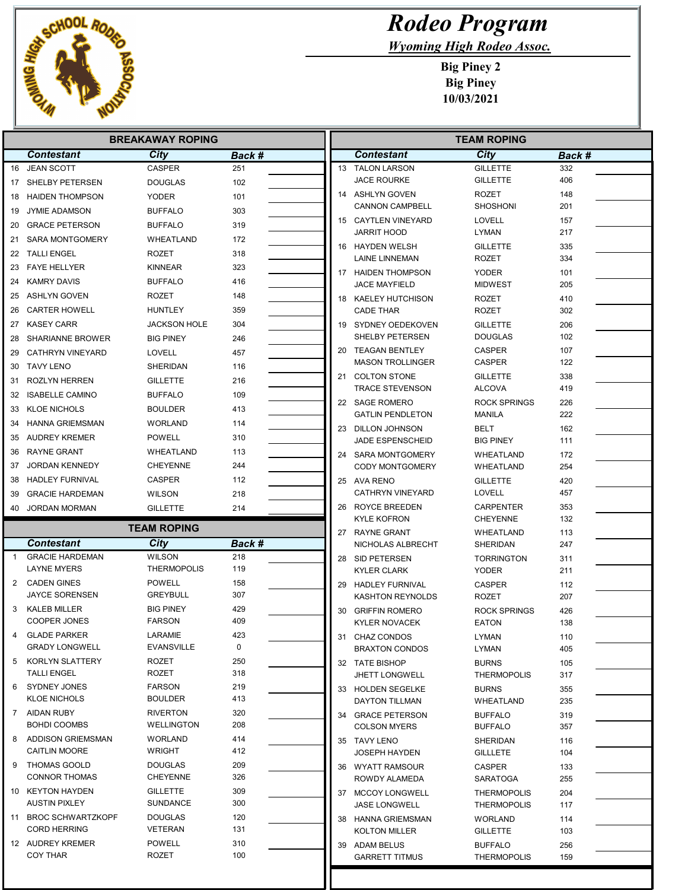

E

## Rodeo Program

Wyoming High Rodeo Assoc.

Big Piney 2 Big Piney 10/03/2021

| <b>BREAKAWAY ROPING</b> |                                         |                                    |               |  | <b>TEAM ROPING</b>                        |                                          |            |  |
|-------------------------|-----------------------------------------|------------------------------------|---------------|--|-------------------------------------------|------------------------------------------|------------|--|
|                         | <b>Contestant</b>                       | City                               | Back #        |  | <b>Contestant</b>                         | City                                     | Back #     |  |
|                         | 16 JEAN SCOTT                           | <b>CASPER</b>                      | 251           |  | 13 TALON LARSON                           | <b>GILLETTE</b>                          | 332        |  |
|                         | 17 SHELBY PETERSEN                      | <b>DOUGLAS</b>                     | 102           |  | <b>JACE ROURKE</b>                        | <b>GILLETTE</b>                          | 406        |  |
|                         | 18 HAIDEN THOMPSON                      | <b>YODER</b>                       | 101           |  | 14 ASHLYN GOVEN                           | <b>ROZET</b>                             | 148        |  |
| 19                      | <b>JYMIE ADAMSON</b>                    | <b>BUFFALO</b>                     | 303           |  | <b>CANNON CAMPBELL</b>                    | <b>SHOSHONI</b>                          | 201        |  |
|                         | 20 GRACE PETERSON                       | <b>BUFFALO</b>                     | 319           |  | 15 CAYTLEN VINEYARD<br>JARRIT HOOD        | LOVELL<br>LYMAN                          | 157<br>217 |  |
|                         | 21 SARA MONTGOMERY                      | WHEATLAND                          | 172           |  | 16 HAYDEN WELSH                           |                                          |            |  |
| 22                      | TALLI ENGEL                             | <b>ROZET</b>                       | 318           |  | <b>LAINE LINNEMAN</b>                     | <b>GILLETTE</b><br><b>ROZET</b>          | 335<br>334 |  |
|                         | 23 FAYE HELLYER                         | <b>KINNEAR</b>                     | 323           |  | 17 HAIDEN THOMPSON                        | <b>YODER</b>                             | 101        |  |
| 24                      | KAMRY DAVIS                             | <b>BUFFALO</b>                     | 416           |  | <b>JACE MAYFIELD</b>                      | <b>MIDWEST</b>                           | 205        |  |
|                         | 25 ASHLYN GOVEN                         | ROZET                              | 148           |  | 18 KAELEY HUTCHISON                       | <b>ROZET</b>                             | 410        |  |
|                         | 26 CARTER HOWELL                        | <b>HUNTLEY</b>                     | 359           |  | <b>CADE THAR</b>                          | <b>ROZET</b>                             | 302        |  |
|                         | 27 KASEY CARR                           | <b>JACKSON HOLE</b>                | 304           |  | 19 SYDNEY OEDEKOVEN                       | <b>GILLETTE</b>                          | 206        |  |
|                         | 28 SHARIANNE BROWER                     | <b>BIG PINEY</b>                   | 246           |  | SHELBY PETERSEN                           | <b>DOUGLAS</b>                           | 102        |  |
| 29                      | CATHRYN VINEYARD                        | <b>LOVELL</b>                      | 457           |  | 20 TEAGAN BENTLEY                         | <b>CASPER</b>                            | 107        |  |
| 30                      | TAVY LENO                               | SHERIDAN                           | 116           |  | <b>MASON TROLLINGER</b>                   | CASPER                                   | 122        |  |
|                         | 31 ROZLYN HERREN                        | <b>GILLETTE</b>                    | 216           |  | 21 COLTON STONE<br><b>TRACE STEVENSON</b> | <b>GILLETTE</b><br>ALCOVA                | 338<br>419 |  |
| 32                      | <b>ISABELLE CAMINO</b>                  | <b>BUFFALO</b>                     | 109           |  | 22 SAGE ROMERO                            | <b>ROCK SPRINGS</b>                      | 226        |  |
|                         | 33 KLOE NICHOLS                         | <b>BOULDER</b>                     | 413           |  | <b>GATLIN PENDLETON</b>                   | MANILA                                   | 222        |  |
| 34                      | HANNA GRIEMSMAN                         | <b>WORLAND</b>                     | 114           |  | 23 DILLON JOHNSON                         | BELT                                     | 162        |  |
|                         | 35 AUDREY KREMER                        | <b>POWELL</b>                      | 310           |  | JADE ESPENSCHEID                          | <b>BIG PINEY</b>                         | 111        |  |
|                         | 36 RAYNE GRANT                          | WHEATLAND                          | 113           |  | 24 SARA MONTGOMERY                        | WHEATLAND                                | 172        |  |
| 37                      | JORDAN KENNEDY                          | <b>CHEYENNE</b>                    | 244           |  | <b>CODY MONTGOMERY</b>                    | WHEATLAND                                | 254        |  |
|                         | 38 HADLEY FURNIVAL                      | <b>CASPER</b>                      | 112           |  | 25 AVA RENO                               | <b>GILLETTE</b>                          | 420        |  |
| 39                      | <b>GRACIE HARDEMAN</b>                  | <b>WILSON</b>                      | 218           |  | <b>CATHRYN VINEYARD</b>                   | LOVELL                                   | 457        |  |
|                         | 40 JORDAN MORMAN                        | <b>GILLETTE</b>                    | 214           |  | 26 ROYCE BREEDEN                          | <b>CARPENTER</b>                         | 353        |  |
|                         |                                         | <b>TEAM ROPING</b>                 |               |  | <b>KYLE KOFRON</b>                        | <b>CHEYENNE</b>                          | 132        |  |
|                         | <b>Contestant</b>                       | City                               | <b>Back #</b> |  | 27 RAYNE GRANT<br>NICHOLAS ALBRECHT       | WHEATLAND<br>SHERIDAN                    | 113<br>247 |  |
| -1                      | <b>GRACIE HARDEMAN</b>                  | <b>WILSON</b>                      | 218           |  | 28 SID PETERSEN                           | <b>TORRINGTON</b>                        | 311        |  |
|                         | <b>LAYNE MYERS</b>                      | <b>THERMOPOLIS</b>                 | 119           |  | <b>KYLER CLARK</b>                        | <b>YODER</b>                             | 211        |  |
| 2                       | CADEN GINES                             | <b>POWELL</b>                      | 158           |  | 29 HADLEY FURNIVAL                        | <b>CASPER</b>                            | 112        |  |
|                         | <b>JAYCE SORENSEN</b>                   | <b>GREYBULL</b>                    | 307           |  | <b>KASHTON REYNOLDS</b>                   | <b>ROZET</b>                             | 207        |  |
| 3                       | KALEB MILLER                            | <b>BIG PINEY</b>                   | 429           |  | 30 GRIFFIN ROMERO                         | <b>ROCK SPRINGS</b>                      | 426        |  |
|                         | <b>COOPER JONES</b>                     | <b>FARSON</b>                      | 409           |  | <b>KYLER NOVACEK</b>                      | <b>EATON</b>                             | 138        |  |
|                         | 4 GLADE PARKER<br><b>GRADY LONGWELL</b> | LARAMIE<br>EVANSVILLE              | 423<br>0      |  | 31 CHAZ CONDOS                            | LYMAN                                    | 110        |  |
| 5                       | KORLYN SLATTERY                         | <b>ROZET</b>                       | 250           |  | <b>BRAXTON CONDOS</b>                     | LYMAN                                    | 405        |  |
|                         | <b>TALLI ENGEL</b>                      | ROZET                              | 318           |  | 32 TATE BISHOP<br><b>JHETT LONGWELL</b>   | <b>BURNS</b><br><b>THERMOPOLIS</b>       | 105<br>317 |  |
| 6                       | SYDNEY JONES                            | <b>FARSON</b>                      | 219           |  | 33 HOLDEN SEGELKE                         | <b>BURNS</b>                             | 355        |  |
|                         | KLOE NICHOLS                            | <b>BOULDER</b>                     | 413           |  | DAYTON TILLMAN                            | WHEATLAND                                | 235        |  |
|                         | 7 AIDAN RUBY                            | <b>RIVERTON</b>                    | 320           |  | 34 GRACE PETERSON                         | <b>BUFFALO</b>                           | 319        |  |
|                         | <b>BOHDI COOMBS</b>                     | <b>WELLINGTON</b>                  | 208           |  | <b>COLSON MYERS</b>                       | <b>BUFFALO</b>                           | 357        |  |
| 8                       | ADDISON GRIEMSMAN                       | <b>WORLAND</b>                     | 414           |  | 35 TAVY LENO                              | SHERIDAN                                 | 116        |  |
|                         | <b>CAITLIN MOORE</b>                    | <b>WRIGHT</b>                      | 412           |  | JOSEPH HAYDEN                             | <b>GILLLETE</b>                          | 104        |  |
| 9                       | THOMAS GOOLD<br><b>CONNOR THOMAS</b>    | <b>DOUGLAS</b>                     | 209<br>326    |  | 36 WYATT RAMSOUR                          | CASPER                                   | 133        |  |
|                         | 10 KEYTON HAYDEN                        | <b>CHEYENNE</b><br><b>GILLETTE</b> | 309           |  | ROWDY ALAMEDA                             | SARATOGA                                 | 255        |  |
|                         | <b>AUSTIN PIXLEY</b>                    | <b>SUNDANCE</b>                    | 300           |  | 37 MCCOY LONGWELL<br><b>JASE LONGWELL</b> | <b>THERMOPOLIS</b><br><b>THERMOPOLIS</b> | 204<br>117 |  |
|                         | 11 BROC SCHWARTZKOPF                    | <b>DOUGLAS</b>                     | 120           |  | 38 HANNA GRIEMSMAN                        | <b>WORLAND</b>                           | 114        |  |
|                         | <b>CORD HERRING</b>                     | VETERAN                            | 131           |  | KOLTON MILLER                             | <b>GILLETTE</b>                          | 103        |  |
|                         | 12 AUDREY KREMER                        | <b>POWELL</b>                      | 310           |  | 39 ADAM BELUS                             | <b>BUFFALO</b>                           | 256        |  |
|                         | <b>COY THAR</b>                         | ROZET                              | 100           |  | <b>GARRETT TITMUS</b>                     | <b>THERMOPOLIS</b>                       | 159        |  |
|                         |                                         |                                    |               |  |                                           |                                          |            |  |

Ш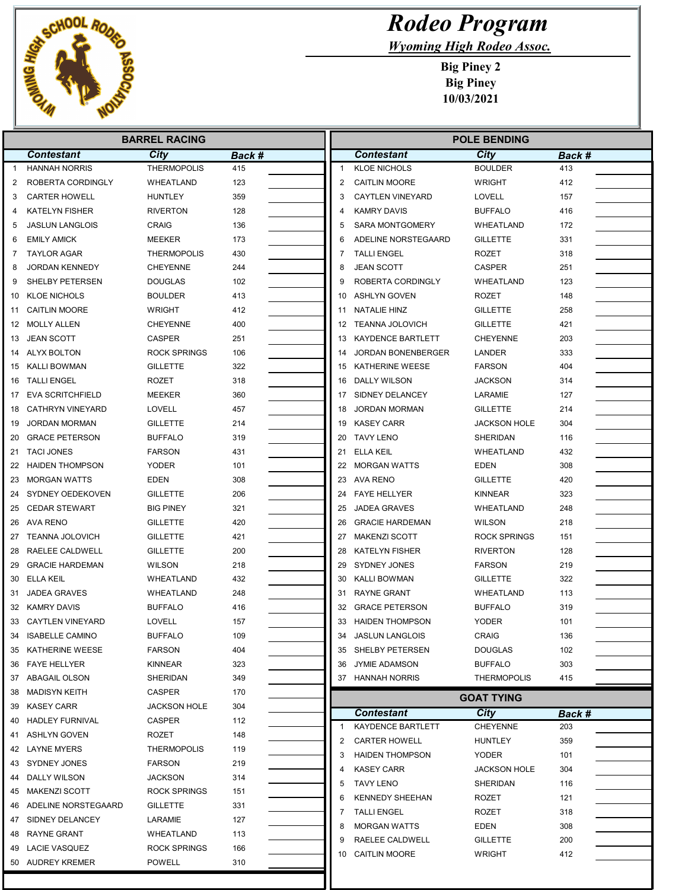

## Rodeo Program

Wyoming High Rodeo Assoc.

Big Piney 2 Big Piney 10/03/2021

| <b>BARREL RACING</b> |                         |                     |        |  | <b>POLE BENDING</b> |                          |                         |               |
|----------------------|-------------------------|---------------------|--------|--|---------------------|--------------------------|-------------------------|---------------|
|                      | <b>Contestant</b>       | City                | Back # |  |                     | <b>Contestant</b>        | City                    | Back #        |
| 1                    | <b>HANNAH NORRIS</b>    | <b>THERMOPOLIS</b>  | 415    |  | $\mathbf{1}$        | <b>KLOE NICHOLS</b>      | <b>BOULDER</b>          | 413           |
| 2                    | ROBERTA CORDINGLY       | WHEATLAND           | 123    |  | 2                   | <b>CAITLIN MOORE</b>     | <b>WRIGHT</b>           | 412           |
| 3                    | <b>CARTER HOWELL</b>    | <b>HUNTLEY</b>      | 359    |  | 3                   | <b>CAYTLEN VINEYARD</b>  | <b>LOVELL</b>           | 157           |
| 4                    | <b>KATELYN FISHER</b>   | <b>RIVERTON</b>     | 128    |  | 4                   | <b>KAMRY DAVIS</b>       | <b>BUFFALO</b>          | 416           |
| 5                    | <b>JASLUN LANGLOIS</b>  | <b>CRAIG</b>        | 136    |  | 5                   | <b>SARA MONTGOMERY</b>   | WHEATLAND               | 172           |
| 6                    | <b>EMILY AMICK</b>      | MEEKER              | 173    |  | 6                   | ADELINE NORSTEGAARD      | <b>GILLETTE</b>         | 331           |
| 7                    | <b>TAYLOR AGAR</b>      | <b>THERMOPOLIS</b>  | 430    |  | 7                   | <b>TALLI ENGEL</b>       | ROZET                   | 318           |
| 8                    | <b>JORDAN KENNEDY</b>   | <b>CHEYENNE</b>     | 244    |  | 8                   | <b>JEAN SCOTT</b>        | <b>CASPER</b>           | 251           |
| 9                    | SHELBY PETERSEN         | <b>DOUGLAS</b>      | 102    |  | 9                   | ROBERTA CORDINGLY        | WHEATLAND               | 123           |
| 10                   | <b>KLOE NICHOLS</b>     | <b>BOULDER</b>      | 413    |  | 10                  | ASHLYN GOVEN             | ROZET                   | 148           |
| 11                   | <b>CAITLIN MOORE</b>    | <b>WRIGHT</b>       | 412    |  | 11                  | NATALIE HINZ             | <b>GILLETTE</b>         | 258           |
|                      | 12 MOLLY ALLEN          | <b>CHEYENNE</b>     | 400    |  |                     | 12 TEANNA JOLOVICH       | <b>GILLETTE</b>         | 421           |
| 13                   | <b>JEAN SCOTT</b>       | <b>CASPER</b>       | 251    |  | 13                  | <b>KAYDENCE BARTLETT</b> | <b>CHEYENNE</b>         | 203           |
| 14                   | ALYX BOLTON             | <b>ROCK SPRINGS</b> | 106    |  | 14                  | JORDAN BONENBERGER       | LANDER                  | 333           |
| 15                   | KALLI BOWMAN            | <b>GILLETTE</b>     | 322    |  | 15                  | KATHERINE WEESE          | <b>FARSON</b>           | 404           |
|                      | 16 TALLI ENGEL          | ROZET               | 318    |  | 16                  | DALLY WILSON             | <b>JACKSON</b>          | 314           |
| 17                   | <b>EVA SCRITCHFIELD</b> | MEEKER              | 360    |  | 17                  | SIDNEY DELANCEY          | LARAMIE                 | 127           |
| 18                   | <b>CATHRYN VINEYARD</b> | LOVELL              | 457    |  | 18                  | <b>JORDAN MORMAN</b>     | <b>GILLETTE</b>         | 214           |
| 19                   | <b>JORDAN MORMAN</b>    | <b>GILLETTE</b>     | 214    |  | 19                  | <b>KASEY CARR</b>        | <b>JACKSON HOLE</b>     | 304           |
| 20                   | <b>GRACE PETERSON</b>   | <b>BUFFALO</b>      | 319    |  |                     | 20 TAVY LENO             | <b>SHERIDAN</b>         | 116           |
|                      | 21 TACI JONES           | <b>FARSON</b>       | 431    |  | 21                  | <b>ELLA KEIL</b>         | WHEATLAND               | 432           |
|                      | 22 HAIDEN THOMPSON      | <b>YODER</b>        | 101    |  |                     | 22 MORGAN WATTS          | <b>EDEN</b>             | 308           |
| 23                   | <b>MORGAN WATTS</b>     | <b>EDEN</b>         | 308    |  |                     | 23 AVA RENO              | <b>GILLETTE</b>         | 420           |
| 24                   | SYDNEY OEDEKOVEN        | <b>GILLETTE</b>     | 206    |  | 24                  | <b>FAYE HELLYER</b>      | <b>KINNEAR</b>          | 323           |
| 25                   | <b>CEDAR STEWART</b>    | <b>BIG PINEY</b>    | 321    |  | 25                  | <b>JADEA GRAVES</b>      | WHEATLAND               | 248           |
|                      | 26 AVA RENO             | <b>GILLETTE</b>     | 420    |  | 26                  | <b>GRACIE HARDEMAN</b>   | <b>WILSON</b>           | 218           |
| 27                   | <b>TEANNA JOLOVICH</b>  | <b>GILLETTE</b>     | 421    |  | 27                  | <b>MAKENZI SCOTT</b>     | <b>ROCK SPRINGS</b>     | 151           |
| 28                   | RAELEE CALDWELL         | <b>GILLETTE</b>     | 200    |  | 28                  | <b>KATELYN FISHER</b>    | <b>RIVERTON</b>         | 128           |
| 29                   | <b>GRACIE HARDEMAN</b>  | <b>WILSON</b>       | 218    |  | 29                  | SYDNEY JONES             | <b>FARSON</b>           | 219           |
|                      | 30 ELLA KEIL            | WHEATLAND           | 432    |  | 30                  | <b>KALLI BOWMAN</b>      | <b>GILLETTE</b>         | 322           |
| 31                   | <b>JADEA GRAVES</b>     | WHEATLAND           | 248    |  | 31                  | RAYNE GRANT              | WHEATLAND               | 113           |
|                      | 32 KAMRY DAVIS          | <b>BUFFALO</b>      | 416    |  | 32                  | <b>GRACE PETERSON</b>    | <b>BUFFALO</b>          | 319           |
|                      | 33 CAYTLEN VINEYARD     | <b>LOVELL</b>       | 157    |  | 33                  | <b>HAIDEN THOMPSON</b>   | <b>YODER</b>            | 101           |
|                      | 34 ISABELLE CAMINO      | <b>BUFFALO</b>      | 109    |  | 34                  | <b>JASLUN LANGLOIS</b>   | <b>CRAIG</b>            | 136           |
|                      | 35 KATHERINE WEESE      | <b>FARSON</b>       | 404    |  |                     | 35 SHELBY PETERSEN       | <b>DOUGLAS</b>          | 102           |
|                      | 36 FAYE HELLYER         | KINNEAR             | 323    |  |                     | 36 JYMIE ADAMSON         | <b>BUFFALO</b>          | 303           |
|                      | 37 ABAGAIL OLSON        | SHERIDAN            | 349    |  |                     | 37 HANNAH NORRIS         | <b>THERMOPOLIS</b>      | 415           |
|                      | 38 MADISYN KEITH        | CASPER              | 170    |  |                     |                          | <b>GOAT TYING</b>       |               |
|                      | 39 KASEY CARR           | <b>JACKSON HOLE</b> | 304    |  |                     | <b>Contestant</b>        |                         |               |
| 40                   | <b>HADLEY FURNIVAL</b>  | CASPER              | 112    |  |                     | KAYDENCE BARTLETT        | City<br><b>CHEYENNE</b> | Back #<br>203 |
| 41                   | ASHLYN GOVEN            | ROZET               | 148    |  | 2                   | <b>CARTER HOWELL</b>     | HUNTLEY                 | 359           |
|                      | 42 LAYNE MYERS          | <b>THERMOPOLIS</b>  | 119    |  |                     | <b>HAIDEN THOMPSON</b>   | YODER                   |               |
|                      | 43 SYDNEY JONES         | <b>FARSON</b>       | 219    |  |                     |                          |                         | 101           |
| 44                   | DALLY WILSON            | <b>JACKSON</b>      | 314    |  |                     | <b>KASEY CARR</b>        | <b>JACKSON HOLE</b>     | 304           |
|                      | 45 MAKENZI SCOTT        | <b>ROCK SPRINGS</b> | 151    |  | 5                   | <b>TAVY LENO</b>         | SHERIDAN                | 116           |
| 46                   | ADELINE NORSTEGAARD     | <b>GILLETTE</b>     | 331    |  | 6                   | <b>KENNEDY SHEEHAN</b>   | ROZET                   | 121           |
| 47                   | SIDNEY DELANCEY         | LARAMIE             | 127    |  |                     | <b>TALLI ENGEL</b>       | ROZET                   | 318           |
|                      | 48 RAYNE GRANT          | WHEATLAND           | 113    |  | 8                   | <b>MORGAN WATTS</b>      | <b>EDEN</b>             | 308           |
|                      | 49 LACIE VASQUEZ        | <b>ROCK SPRINGS</b> | 166    |  | 9                   | RAELEE CALDWELL          | <b>GILLETTE</b>         | 200           |
|                      | 50 AUDREY KREMER        | <b>POWELL</b>       | 310    |  | 10                  | <b>CAITLIN MOORE</b>     | <b>WRIGHT</b>           | 412           |
|                      |                         |                     |        |  |                     |                          |                         |               |